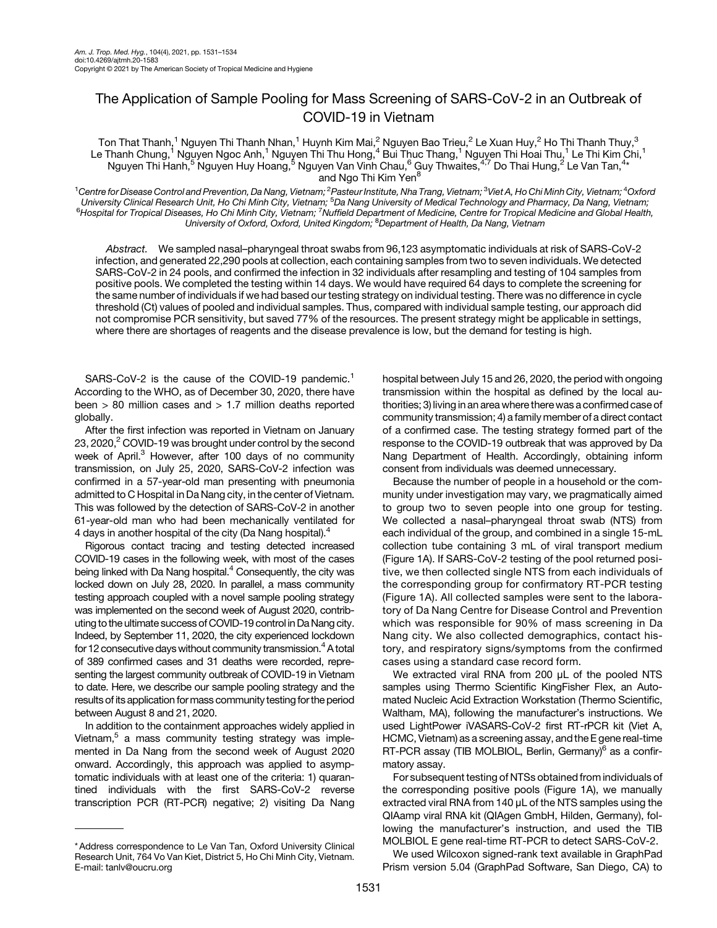## The Application of Sample Pooling for Mass Screening of SARS-CoV-2 in an Outbreak of COVID-19 in Vietnam

Ton That Thanh,<sup>1</sup> Nguyen Thi Thanh Nhan,<sup>1</sup> Huynh Kim Mai,<sup>2</sup> Nguyen Bao Trieu,<sup>2</sup> Le Xuan Huy,<sup>2</sup> Ho Thi Thanh Thuy,<sup>3</sup> Le Thanh Chung,<sup>1</sup> Nguyen Ngoc Anh,<sup>1</sup> Nguyen Thi Thu Hong,<sup>4</sup> Bui Thuc Thang,<sup>1</sup> Nguyen Thi Hoai Thu,<sup>1</sup> Le Thi Kim Chi,<sup>1</sup> Nguyen Thi Hanh,<sup>5</sup> Nguyen Huy Hoang,<sup>5</sup> Nguyen Van Vinh Chau,<sup>6</sup> Guy Thwaites,<sup>4,7</sup> Do Thai Hung,<sup>2</sup> Le Van Tan,<sup>4</sup>\* and Ngo Thi Kim Yen<sup>8</sup>

 $^1$ Centre for Disease Control and Prevention, Da Nang, Vietnam; $^2$ Pasteur Institute, Nha Trang, Vietnam; $^3$ Viet A, Ho Chi Minh City, Vietnam; $^4$ Oxford University Clinical Research Unit, Ho Chi Minh City, Vietnam; <sup>5</sup>Da Nang University of Medical Technology and Pharmacy, Da Nang, Vietnam;<br><sup>6</sup>Hospital for Tropical Discosos, Ho Chi Minh City, Vietnam; (Nuffield Department o Hospital for Tropical Diseases, Ho Chi Minh City, Vietnam; <sup>7</sup>Nuffield Department of Medicine, Centre for Tropical Medicine and Global Health, University of Oxford, Oxford, United Kingdom; <sup>8</sup>Department of Health, Da Nang, Vietnam

Abstract. We sampled nasal–pharyngeal throat swabs from 96,123 asymptomatic individuals at risk of SARS-CoV-2 infection, and generated 22,290 pools at collection, each containing samples from two to seven individuals. We detected SARS-CoV-2 in 24 pools, and confirmed the infection in 32 individuals after resampling and testing of 104 samples from positive pools. We completed the testing within 14 days. We would have required 64 days to complete the screening for the same number of individuals if we had based our testing strategy on individual testing. There was no difference in cycle threshold (Ct) values of pooled and individual samples. Thus, compared with individual sample testing, our approach did not compromise PCR sensitivity, but saved 77% of the resources. The present strategy might be applicable in settings, where there are shortages of reagents and the disease prevalence is low, but the demand for testing is high.

SARS-CoV-2 is the cause of the COVID-[1](#page-3-0)9 pandemic.<sup>1</sup> According to the WHO, as of December 30, 2020, there have been > 80 million cases and > 1.7 million deaths reported globally.

After the first infection was reported in Vietnam on January 23, 2020, $2$  COVID-19 was brought under control by the second week of April.<sup>3</sup> However, after 100 days of no community transmission, on July 25, 2020, SARS-CoV-2 infection was confirmed in a 57-year-old man presenting with pneumonia admitted to C Hospital in Da Nang city, in the center of Vietnam. This was followed by the detection of SARS-CoV-2 in another 61-year-old man who had been mechanically ventilated for [4](#page-3-0) days in another hospital of the city (Da Nang hospital).<sup>4</sup>

Rigorous contact tracing and testing detected increased COVID-19 cases in the following week, with most of the cases being linked with Da Nang hospital.<sup>4</sup> Consequently, the city was locked down on July 28, 2020. In parallel, a mass community testing approach coupled with a novel sample pooling strategy was implemented on the second week of August 2020, contributing to the ultimate success of COVID-19 control inDa Nang city. Indeed, by September 11, 2020, the city experienced lockdown for 12 consecutive days without community transmission. $4$  A total of 389 confirmed cases and 31 deaths were recorded, representing the largest community outbreak of COVID-19 in Vietnam to date. Here, we describe our sample pooling strategy and the results of its application for mass community testing for the period between August 8 and 21, 2020.

In addition to the containment approaches widely applied in Vietnam, $5$  a mass community testing strategy was implemented in Da Nang from the second week of August 2020 onward. Accordingly, this approach was applied to asymptomatic individuals with at least one of the criteria: 1) quarantined individuals with the first SARS-CoV-2 reverse transcription PCR (RT-PCR) negative; 2) visiting Da Nang hospital between July 15 and 26, 2020, the period with ongoing transmission within the hospital as defined by the local authorities; 3) living in an area where there was a confirmed case of community transmission; 4) a family member of a direct contact of a confirmed case. The testing strategy formed part of the response to the COVID-19 outbreak that was approved by Da Nang Department of Health. Accordingly, obtaining inform consent from individuals was deemed unnecessary.

Because the number of people in a household or the community under investigation may vary, we pragmatically aimed to group two to seven people into one group for testing. We collected a nasal–pharyngeal throat swab (NTS) from each individual of the group, and combined in a single 15-mL collection tube containing 3 mL of viral transport medium [\(Figure 1A\)](#page-1-0). If SARS-CoV-2 testing of the pool returned positive, we then collected single NTS from each individuals of the corresponding group for confirmatory RT-PCR testing [\(Figure 1A\)](#page-1-0). All collected samples were sent to the laboratory of Da Nang Centre for Disease Control and Prevention which was responsible for 90% of mass screening in Da Nang city. We also collected demographics, contact history, and respiratory signs/symptoms from the confirmed cases using a standard case record form.

We extracted viral RNA from 200 μL of the pooled NTS samples using Thermo Scientific KingFisher Flex, an Automated Nucleic Acid Extraction Workstation (Thermo Scientific, Waltham, MA), following the manufacturer's instructions. We used LightPower iVASARS-CoV-2 first RT-rPCR kit (Viet A, HCMC, Vietnam) as a screening assay, and the E gene real-time RT-PCR assay (TIB MOLBIOL, Berlin, Germany)<sup>6</sup> as a confirmatory assay.

For subsequent testing of NTSs obtained from individuals of the corresponding positive pools [\(Figure 1A\)](#page-1-0), we manually extracted viral RNA from 140 μL of the NTS samples using the QIAamp viral RNA kit (QIAgen GmbH, Hilden, Germany), following the manufacturer's instruction, and used the TIB MOLBIOL E gene real-time RT-PCR to detect SARS-CoV-2.

We used Wilcoxon signed-rank text available in GraphPad Prism version 5.04 (GraphPad Software, San Diego, CA) to

<sup>\*</sup> Address correspondence to Le Van Tan, Oxford University Clinical Research Unit, 764 Vo Van Kiet, District 5, Ho Chi Minh City, Vietnam. E-mail: [tanlv@oucru.org](mailto:tanlv@oucru.org)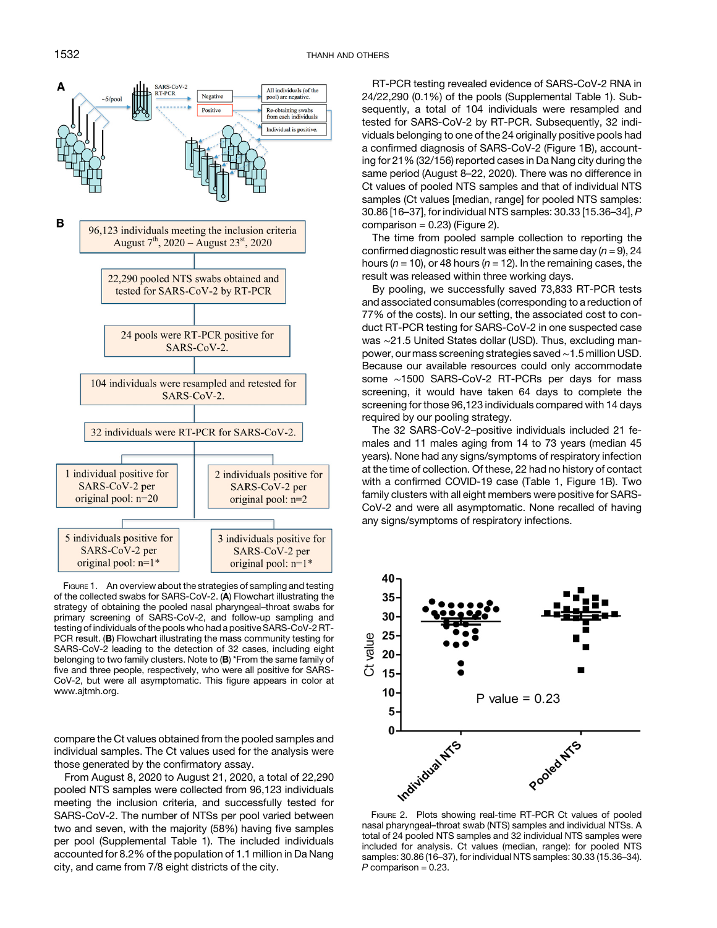<span id="page-1-0"></span>

FIGURE 1. An overview about the strategies of sampling and testing of the collected swabs for SARS-CoV-2. (A) Flowchart illustrating the strategy of obtaining the pooled nasal pharyngeal–throat swabs for primary screening of SARS-CoV-2, and follow-up sampling and testing of individuals of the pools who had a positive SARS-CoV-2 RT-PCR result. (B) Flowchart illustrating the mass community testing for SARS-CoV-2 leading to the detection of 32 cases, including eight belonging to two family clusters. Note to (B) \*From the same family of five and three people, respectively, who were all positive for SARS-CoV-2, but were all asymptomatic. This figure appears in color at [www.ajtmh.org](http://www.ajtmh.org).

compare the Ct values obtained from the pooled samples and individual samples. The Ct values used for the analysis were those generated by the confirmatory assay.

From August 8, 2020 to August 21, 2020, a total of 22,290 pooled NTS samples were collected from 96,123 individuals meeting the inclusion criteria, and successfully tested for SARS-CoV-2. The number of NTSs per pool varied between two and seven, with the majority (58%) having five samples per pool (Supplemental Table 1). The included individuals accounted for 8.2% of the population of 1.1 million in Da Nang city, and came from 7/8 eight districts of the city.

RT-PCR testing revealed evidence of SARS-CoV-2 RNA in 24/22,290 (0.1%) of the pools (Supplemental Table 1). Subsequently, a total of 104 individuals were resampled and tested for SARS-CoV-2 by RT-PCR. Subsequently, 32 individuals belonging to one of the 24 originally positive pools had a confirmed diagnosis of SARS-CoV-2 (Figure 1B), accounting for 21% (32/156) reported cases in Da Nang city during the same period (August 8–22, 2020). There was no difference in Ct values of pooled NTS samples and that of individual NTS samples (Ct values [median, range] for pooled NTS samples: 30.86 [16–37], for individual NTS samples: 30.33 [15.36–34], P comparison =  $0.23$ ) (Figure 2).

The time from pooled sample collection to reporting the confirmed diagnostic result was either the same day  $(n = 9)$ , 24 hours ( $n = 10$ ), or 48 hours ( $n = 12$ ). In the remaining cases, the result was released within three working days.

By pooling, we successfully saved 73,833 RT-PCR tests and associated consumables (corresponding to a reduction of 77% of the costs). In our setting, the associated cost to conduct RT-PCR testing for SARS-CoV-2 in one suspected case was ~21.5 United States dollar (USD). Thus, excluding manpower, our mass screening strategies saved∼1.5 million USD. Because our available resources could only accommodate some ∼1500 SARS-CoV-2 RT-PCRs per days for mass screening, it would have taken 64 days to complete the screening for those 96,123 individuals compared with 14 days required by our pooling strategy.

The 32 SARS-CoV-2–positive individuals included 21 females and 11 males aging from 14 to 73 years (median 45 years). None had any signs/symptoms of respiratory infection at the time of collection. Of these, 22 had no history of contact with a confirmed COVID-19 case [\(Table 1](#page-2-0), Figure 1B). Two family clusters with all eight members were positive for SARS-CoV-2 and were all asymptomatic. None recalled of having any signs/symptoms of respiratory infections.



nasal pharyngeal–throat swab (NTS) samples and individual NTSs. A total of 24 pooled NTS samples and 32 individual NTS samples were included for analysis. Ct values (median, range): for pooled NTS samples: 30.86 (16–37), for individual NTS samples: 30.33 (15.36–34).  $P$  comparison = 0.23.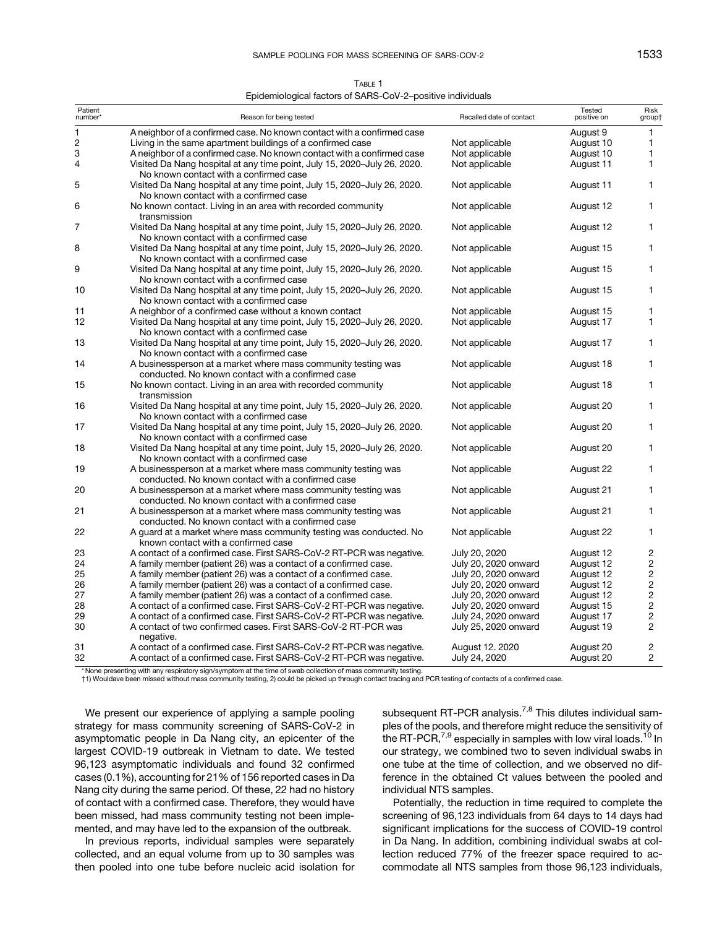| TABLE 1                                                    |
|------------------------------------------------------------|
| Epidemiological factors of SARS-CoV-2-positive individuals |

<span id="page-2-0"></span>

| Patient<br>number*      | Reason for being tested                                                                                            | Recalled date of contact | Tested<br>positive on | Risk<br>group† |
|-------------------------|--------------------------------------------------------------------------------------------------------------------|--------------------------|-----------------------|----------------|
| 1                       | A neighbor of a confirmed case. No known contact with a confirmed case                                             |                          | August 9              | 1              |
| $\overline{\mathbf{c}}$ | Living in the same apartment buildings of a confirmed case                                                         | Not applicable           | August 10             | $\mathbf{1}$   |
| 3                       | A neighbor of a confirmed case. No known contact with a confirmed case                                             | Not applicable           | August 10             | $\mathbf{1}$   |
| 4                       | Visited Da Nang hospital at any time point, July 15, 2020-July 26, 2020.<br>No known contact with a confirmed case | Not applicable           | August 11             | 1              |
| 5                       | Visited Da Nang hospital at any time point, July 15, 2020-July 26, 2020.<br>No known contact with a confirmed case | Not applicable           | August 11             | 1              |
| 6                       | No known contact. Living in an area with recorded community<br>transmission                                        | Not applicable           | August 12             | 1              |
| 7                       | Visited Da Nang hospital at any time point, July 15, 2020-July 26, 2020.<br>No known contact with a confirmed case | Not applicable           | August 12             | 1              |
| 8                       | Visited Da Nang hospital at any time point, July 15, 2020-July 26, 2020.<br>No known contact with a confirmed case | Not applicable           | August 15             | 1              |
| 9                       | Visited Da Nang hospital at any time point, July 15, 2020-July 26, 2020.<br>No known contact with a confirmed case | Not applicable           | August 15             | 1              |
| 10                      | Visited Da Nang hospital at any time point, July 15, 2020-July 26, 2020.<br>No known contact with a confirmed case | Not applicable           | August 15             | 1              |
| 11                      | A neighbor of a confirmed case without a known contact                                                             | Not applicable           | August 15             | 1              |
| 12                      | Visited Da Nang hospital at any time point, July 15, 2020-July 26, 2020.<br>No known contact with a confirmed case | Not applicable           | August 17             | $\mathbf{1}$   |
| 13                      | Visited Da Nang hospital at any time point, July 15, 2020-July 26, 2020.<br>No known contact with a confirmed case | Not applicable           | August 17             | $\mathbf{1}$   |
| 14                      | A businessperson at a market where mass community testing was<br>conducted. No known contact with a confirmed case | Not applicable           | August 18             | $\mathbf{1}$   |
| 15                      | No known contact. Living in an area with recorded community<br>transmission                                        | Not applicable           | August 18             | 1              |
| 16                      | Visited Da Nang hospital at any time point, July 15, 2020-July 26, 2020.<br>No known contact with a confirmed case | Not applicable           | August 20             | $\mathbf{1}$   |
| 17                      | Visited Da Nang hospital at any time point, July 15, 2020-July 26, 2020.<br>No known contact with a confirmed case | Not applicable           | August 20             | 1              |
| 18                      | Visited Da Nang hospital at any time point, July 15, 2020-July 26, 2020.<br>No known contact with a confirmed case | Not applicable           | August 20             | $\mathbf{1}$   |
| 19                      | A businessperson at a market where mass community testing was<br>conducted. No known contact with a confirmed case | Not applicable           | August 22             | 1              |
| 20                      | A businessperson at a market where mass community testing was<br>conducted. No known contact with a confirmed case | Not applicable           | August 21             | $\mathbf{1}$   |
| 21                      | A businessperson at a market where mass community testing was<br>conducted. No known contact with a confirmed case | Not applicable           | August 21             | 1              |
| 22                      | A guard at a market where mass community testing was conducted. No<br>known contact with a confirmed case          | Not applicable           | August 22             | 1              |
| 23                      | A contact of a confirmed case. First SARS-CoV-2 RT-PCR was negative.                                               | July 20, 2020            | August 12             | $\overline{c}$ |
| 24                      | A family member (patient 26) was a contact of a confirmed case.                                                    | July 20, 2020 onward     | August 12             | $\overline{c}$ |
| 25                      | A family member (patient 26) was a contact of a confirmed case.                                                    | July 20, 2020 onward     | August 12             | $\mathbf 2$    |
| 26                      | A family member (patient 26) was a contact of a confirmed case.                                                    | July 20, 2020 onward     | August 12             | $\overline{c}$ |
| 27                      | A family member (patient 26) was a contact of a confirmed case.                                                    | July 20, 2020 onward     | August 12             | $\overline{c}$ |
| 28                      | A contact of a confirmed case. First SARS-CoV-2 RT-PCR was negative.                                               | July 20, 2020 onward     | August 15             | $\overline{c}$ |
| 29                      | A contact of a confirmed case. First SARS-CoV-2 RT-PCR was negative.                                               | July 24, 2020 onward     | August 17             | $\mathbf 2$    |
| 30                      | A contact of two confirmed cases. First SARS-CoV-2 RT-PCR was<br>negative.                                         | July 25, 2020 onward     | August 19             | $\mathbf{2}$   |
| 31                      | A contact of a confirmed case. First SARS-CoV-2 RT-PCR was negative.                                               | August 12, 2020          | August 20             | $\overline{c}$ |
| 32                      | A contact of a confirmed case. First SARS-CoV-2 RT-PCR was negative.                                               | July 24, 2020            | August 20             | $\overline{2}$ |
|                         | * None presenting with any respiratory sign/symptom at the time of swab collection of mass community testing.      |                          |                       |                |

†1) Wouldave been missed without mass community testing, 2) could be picked up through contact tracing and PCR testing of contacts of a confirmed case.

We present our experience of applying a sample pooling strategy for mass community screening of SARS-CoV-2 in asymptomatic people in Da Nang city, an epicenter of the largest COVID-19 outbreak in Vietnam to date. We tested 96,123 asymptomatic individuals and found 32 confirmed cases (0.1%), accounting for 21% of 156 reported cases in Da Nang city during the same period. Of these, 22 had no history of contact with a confirmed case. Therefore, they would have been missed, had mass community testing not been implemented, and may have led to the expansion of the outbreak.

In previous reports, individual samples were separately collected, and an equal volume from up to 30 samples was then pooled into one tube before nucleic acid isolation for subsequent RT-PCR analysis.<sup>[7,8](#page-3-0)</sup> This dilutes individual samples of the pools, and therefore might reduce the sensitivity of the RT-PCR, $^{7,9}$  $^{7,9}$  $^{7,9}$  especially in samples with low viral loads.<sup>[10](#page-3-0)</sup> In our strategy, we combined two to seven individual swabs in one tube at the time of collection, and we observed no difference in the obtained Ct values between the pooled and individual NTS samples.

Potentially, the reduction in time required to complete the screening of 96,123 individuals from 64 days to 14 days had significant implications for the success of COVID-19 control in Da Nang. In addition, combining individual swabs at collection reduced 77% of the freezer space required to accommodate all NTS samples from those 96,123 individuals,